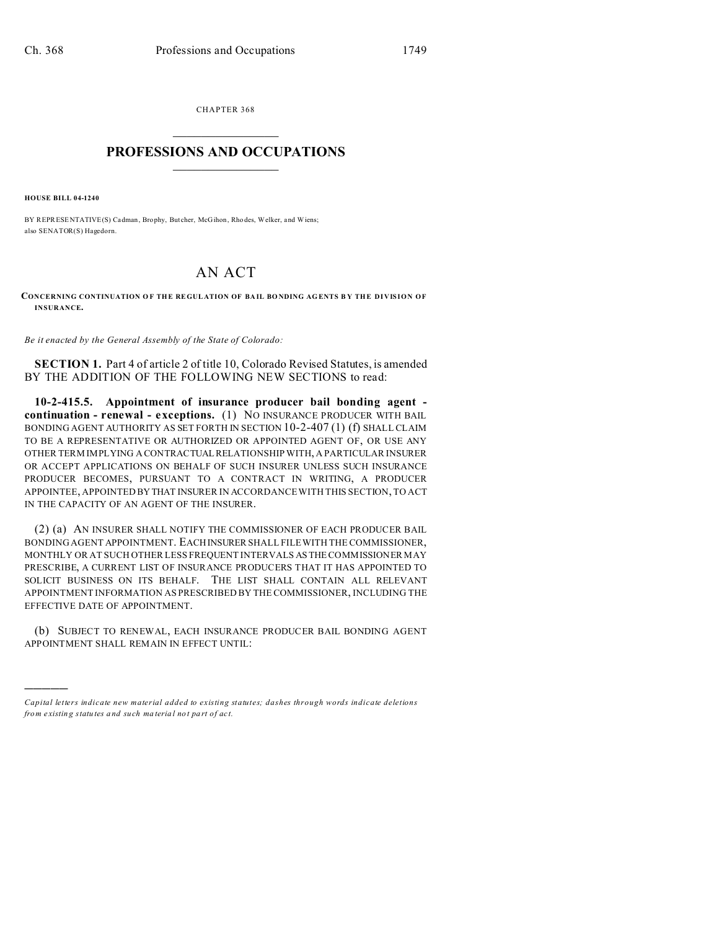CHAPTER 368  $\overline{\phantom{a}}$  , where  $\overline{\phantom{a}}$ 

## **PROFESSIONS AND OCCUPATIONS**  $\frac{1}{2}$  ,  $\frac{1}{2}$  ,  $\frac{1}{2}$  ,  $\frac{1}{2}$  ,  $\frac{1}{2}$  ,  $\frac{1}{2}$  ,  $\frac{1}{2}$

**HOUSE BILL 04-1240**

)))))

BY REPRESENTATIVE(S) Cadman, Brophy, But cher, McGihon, Rho des, Welker, and Wiens; also SENATOR(S) Hagedorn.

## AN ACT

**CONCERNING CONTINUATION O F THE REGUL ATION OF BA IL BO NDING AG ENTS B Y THE DIVISION OF INSURANCE.**

*Be it enacted by the General Assembly of the State of Colorado:*

**SECTION 1.** Part 4 of article 2 of title 10, Colorado Revised Statutes, is amended BY THE ADDITION OF THE FOLLOWING NEW SECTIONS to read:

**10-2-415.5. Appointment of insurance producer bail bonding agent continuation - renewal - exceptions.** (1) NO INSURANCE PRODUCER WITH BAIL BONDING AGENT AUTHORITY AS SET FORTH IN SECTION 10-2-407 (1) (f) SHALL CLAIM TO BE A REPRESENTATIVE OR AUTHORIZED OR APPOINTED AGENT OF, OR USE ANY OTHER TERM IMPLYING A CONTRACTUALRELATIONSHIP WITH, A PARTICULAR INSURER OR ACCEPT APPLICATIONS ON BEHALF OF SUCH INSURER UNLESS SUCH INSURANCE PRODUCER BECOMES, PURSUANT TO A CONTRACT IN WRITING, A PRODUCER APPOINTEE, APPOINTED BY THAT INSURER IN ACCORDANCE WITH THIS SECTION, TO ACT IN THE CAPACITY OF AN AGENT OF THE INSURER.

(2) (a) AN INSURER SHALL NOTIFY THE COMMISSIONER OF EACH PRODUCER BAIL BONDING AGENT APPOINTMENT. EACHINSURER SHALL FILE WITH THE COMMISSIONER, MONTHLY OR AT SUCH OTHER LESS FREQUENT INTERVALS AS THE COMMISSIONER MAY PRESCRIBE, A CURRENT LIST OF INSURANCE PRODUCERS THAT IT HAS APPOINTED TO SOLICIT BUSINESS ON ITS BEHALF. THE LIST SHALL CONTAIN ALL RELEVANT APPOINTMENT INFORMATION AS PRESCRIBED BY THE COMMISSIONER, INCLUDING THE EFFECTIVE DATE OF APPOINTMENT.

(b) SUBJECT TO RENEWAL, EACH INSURANCE PRODUCER BAIL BONDING AGENT APPOINTMENT SHALL REMAIN IN EFFECT UNTIL:

*Capital letters indicate new material added to existing statutes; dashes through words indicate deletions from e xistin g statu tes a nd such ma teria l no t pa rt of ac t.*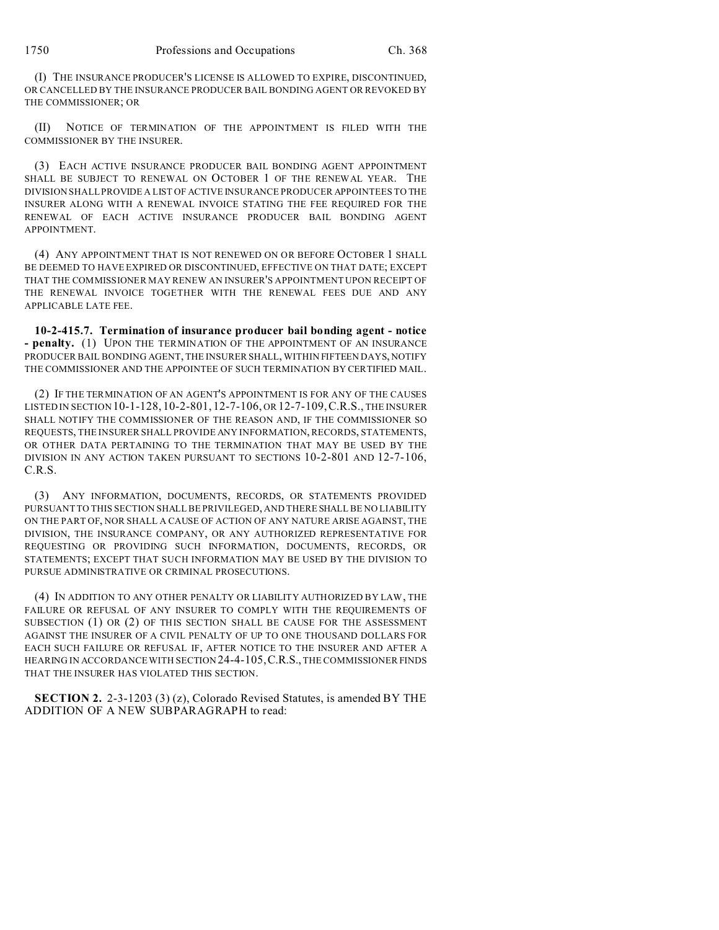(I) THE INSURANCE PRODUCER'S LICENSE IS ALLOWED TO EXPIRE, DISCONTINUED, OR CANCELLED BY THE INSURANCE PRODUCER BAIL BONDING AGENT OR REVOKED BY THE COMMISSIONER; OR

(II) NOTICE OF TERMINATION OF THE APPOINTMENT IS FILED WITH THE COMMISSIONER BY THE INSURER.

(3) EACH ACTIVE INSURANCE PRODUCER BAIL BONDING AGENT APPOINTMENT SHALL BE SUBJECT TO RENEWAL ON OCTOBER 1 OF THE RENEWAL YEAR. THE DIVISION SHALL PROVIDE A LIST OF ACTIVE INSURANCE PRODUCER APPOINTEES TO THE INSURER ALONG WITH A RENEWAL INVOICE STATING THE FEE REQUIRED FOR THE RENEWAL OF EACH ACTIVE INSURANCE PRODUCER BAIL BONDING AGENT APPOINTMENT.

(4) ANY APPOINTMENT THAT IS NOT RENEWED ON OR BEFORE OCTOBER 1 SHALL BE DEEMED TO HAVE EXPIRED OR DISCONTINUED, EFFECTIVE ON THAT DATE; EXCEPT THAT THE COMMISSIONER MAY RENEW AN INSURER'S APPOINTMENT UPON RECEIPT OF THE RENEWAL INVOICE TOGETHER WITH THE RENEWAL FEES DUE AND ANY APPLICABLE LATE FEE.

**10-2-415.7. Termination of insurance producer bail bonding agent - notice - penalty.** (1) UPON THE TERMINATION OF THE APPOINTMENT OF AN INSURANCE PRODUCER BAIL BONDING AGENT, THE INSURER SHALL, WITHIN FIFTEEN DAYS, NOTIFY THE COMMISSIONER AND THE APPOINTEE OF SUCH TERMINATION BY CERTIFIED MAIL.

(2) IF THE TERMINATION OF AN AGENT'S APPOINTMENT IS FOR ANY OF THE CAUSES LISTED IN SECTION 10-1-128, 10-2-801, 12-7-106, OR 12-7-109,C.R.S., THE INSURER SHALL NOTIFY THE COMMISSIONER OF THE REASON AND, IF THE COMMISSIONER SO REQUESTS, THE INSURER SHALL PROVIDE ANY INFORMATION, RECORDS, STATEMENTS, OR OTHER DATA PERTAINING TO THE TERMINATION THAT MAY BE USED BY THE DIVISION IN ANY ACTION TAKEN PURSUANT TO SECTIONS 10-2-801 AND 12-7-106, C.R.S.

(3) ANY INFORMATION, DOCUMENTS, RECORDS, OR STATEMENTS PROVIDED PURSUANT TO THIS SECTION SHALL BE PRIVILEGED, AND THERE SHALL BE NO LIABILITY ON THE PART OF, NOR SHALL A CAUSE OF ACTION OF ANY NATURE ARISE AGAINST, THE DIVISION, THE INSURANCE COMPANY, OR ANY AUTHORIZED REPRESENTATIVE FOR REQUESTING OR PROVIDING SUCH INFORMATION, DOCUMENTS, RECORDS, OR STATEMENTS; EXCEPT THAT SUCH INFORMATION MAY BE USED BY THE DIVISION TO PURSUE ADMINISTRATIVE OR CRIMINAL PROSECUTIONS.

(4) IN ADDITION TO ANY OTHER PENALTY OR LIABILITY AUTHORIZED BY LAW, THE FAILURE OR REFUSAL OF ANY INSURER TO COMPLY WITH THE REQUIREMENTS OF SUBSECTION (1) OR (2) OF THIS SECTION SHALL BE CAUSE FOR THE ASSESSMENT AGAINST THE INSURER OF A CIVIL PENALTY OF UP TO ONE THOUSAND DOLLARS FOR EACH SUCH FAILURE OR REFUSAL IF, AFTER NOTICE TO THE INSURER AND AFTER A HEARING IN ACCORDANCE WITH SECTION 24-4-105,C.R.S., THE COMMISSIONER FINDS THAT THE INSURER HAS VIOLATED THIS SECTION.

**SECTION 2.** 2-3-1203 (3) (z), Colorado Revised Statutes, is amended BY THE ADDITION OF A NEW SUBPARAGRAPH to read: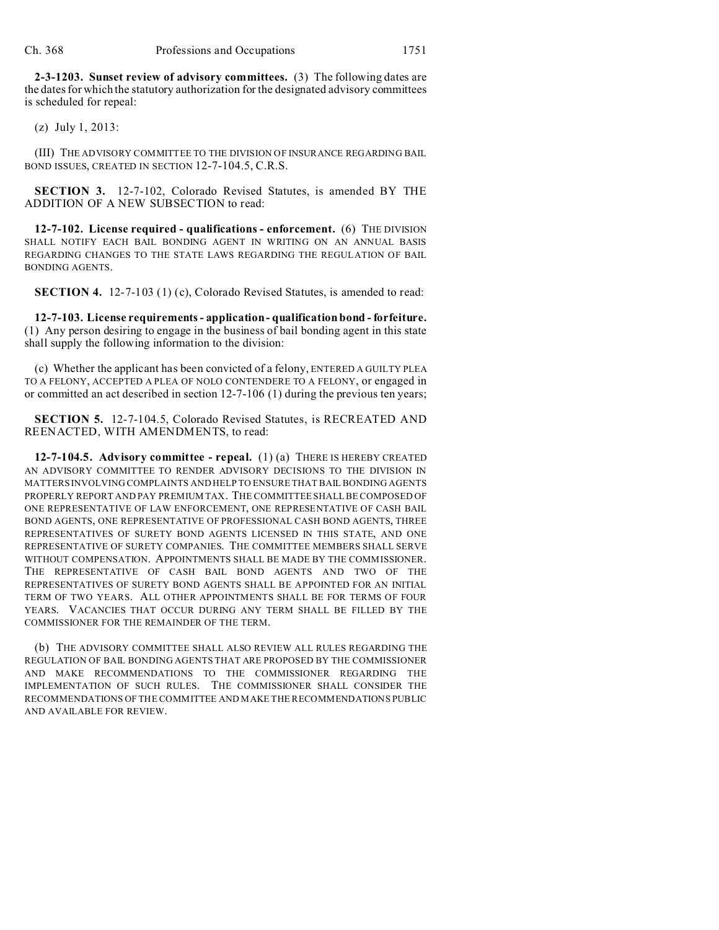**2-3-1203. Sunset review of advisory committees.** (3) The following dates are the dates for which the statutory authorization for the designated advisory committees is scheduled for repeal:

(z) July 1, 2013:

(III) THE ADVISORY COMMITTEE TO THE DIVISION OF INSURANCE REGARDING BAIL BOND ISSUES, CREATED IN SECTION 12-7-104.5, C.R.S.

**SECTION 3.** 12-7-102, Colorado Revised Statutes, is amended BY THE ADDITION OF A NEW SUBSECTION to read:

**12-7-102. License required - qualifications - enforcement.** (6) THE DIVISION SHALL NOTIFY EACH BAIL BONDING AGENT IN WRITING ON AN ANNUAL BASIS REGARDING CHANGES TO THE STATE LAWS REGARDING THE REGULATION OF BAIL BONDING AGENTS.

**SECTION 4.** 12-7-103 (1) (c), Colorado Revised Statutes, is amended to read:

**12-7-103. License requirements - application - qualification bond - forfeiture.** (1) Any person desiring to engage in the business of bail bonding agent in this state shall supply the following information to the division:

(c) Whether the applicant has been convicted of a felony, ENTERED A GUILTY PLEA TO A FELONY, ACCEPTED A PLEA OF NOLO CONTENDERE TO A FELONY, or engaged in or committed an act described in section 12-7-106 (1) during the previous ten years;

**SECTION 5.** 12-7-104.5, Colorado Revised Statutes, is RECREATED AND REENACTED, WITH AMENDMENTS, to read:

**12-7-104.5. Advisory committee - repeal.** (1) (a) THERE IS HEREBY CREATED AN ADVISORY COMMITTEE TO RENDER ADVISORY DECISIONS TO THE DIVISION IN MATTERS INVOLVING COMPLAINTS AND HELP TO ENSURE THAT BAIL BONDING AGENTS PROPERLY REPORT AND PAY PREMIUM TAX. THE COMMITTEE SHALL BE COMPOSED OF ONE REPRESENTATIVE OF LAW ENFORCEMENT, ONE REPRESENTATIVE OF CASH BAIL BOND AGENTS, ONE REPRESENTATIVE OF PROFESSIONAL CASH BOND AGENTS, THREE REPRESENTATIVES OF SURETY BOND AGENTS LICENSED IN THIS STATE, AND ONE REPRESENTATIVE OF SURETY COMPANIES. THE COMMITTEE MEMBERS SHALL SERVE WITHOUT COMPENSATION. APPOINTMENTS SHALL BE MADE BY THE COMMISSIONER. THE REPRESENTATIVE OF CASH BAIL BOND AGENTS AND TWO OF THE REPRESENTATIVES OF SURETY BOND AGENTS SHALL BE APPOINTED FOR AN INITIAL TERM OF TWO YEARS. ALL OTHER APPOINTMENTS SHALL BE FOR TERMS OF FOUR YEARS. VACANCIES THAT OCCUR DURING ANY TERM SHALL BE FILLED BY THE COMMISSIONER FOR THE REMAINDER OF THE TERM.

(b) THE ADVISORY COMMITTEE SHALL ALSO REVIEW ALL RULES REGARDING THE REGULATION OF BAIL BONDING AGENTS THAT ARE PROPOSED BY THE COMMISSIONER AND MAKE RECOMMENDATIONS TO THE COMMISSIONER REGARDING THE IMPLEMENTATION OF SUCH RULES. THE COMMISSIONER SHALL CONSIDER THE RECOMMENDATIONS OF THE COMMITTEE AND MAKE THE RECOMMENDATIONS PUBLIC AND AVAILABLE FOR REVIEW.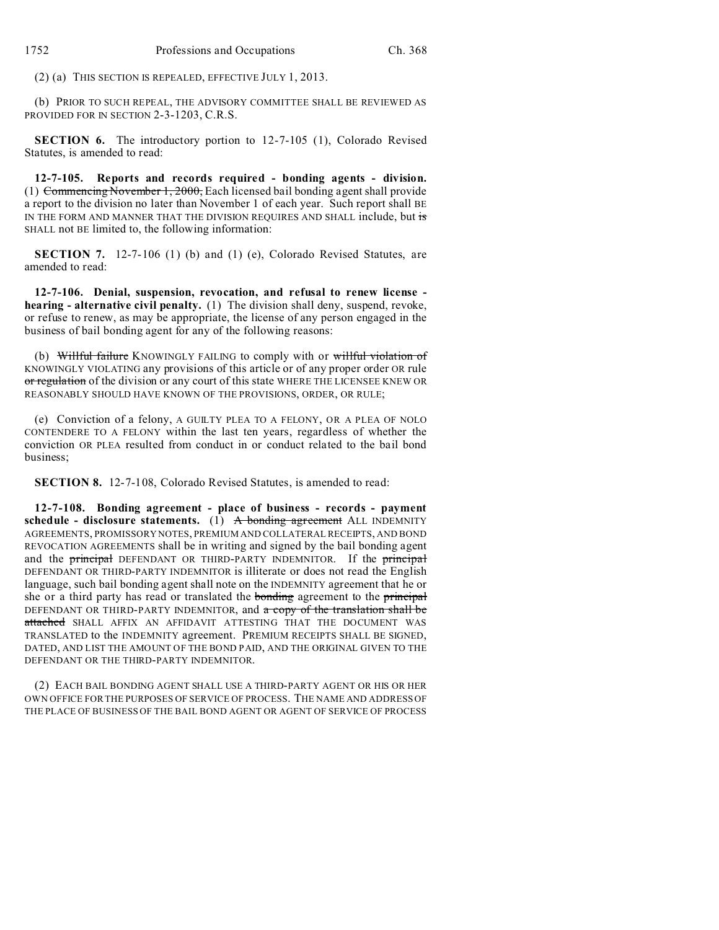(2) (a) THIS SECTION IS REPEALED, EFFECTIVE JULY 1, 2013.

(b) PRIOR TO SUCH REPEAL, THE ADVISORY COMMITTEE SHALL BE REVIEWED AS PROVIDED FOR IN SECTION 2-3-1203, C.R.S.

**SECTION 6.** The introductory portion to 12-7-105 (1), Colorado Revised Statutes, is amended to read:

**12-7-105. Reports and records required - bonding agents - division.** (1) Commencing November 1, 2000, Each licensed bail bonding agent shall provide a report to the division no later than November 1 of each year. Such report shall BE IN THE FORM AND MANNER THAT THE DIVISION REQUIRES AND SHALL include, but is SHALL not BE limited to, the following information:

**SECTION 7.** 12-7-106 (1) (b) and (1) (e), Colorado Revised Statutes, are amended to read:

**12-7-106. Denial, suspension, revocation, and refusal to renew license hearing - alternative civil penalty.** (1) The division shall deny, suspend, revoke, or refuse to renew, as may be appropriate, the license of any person engaged in the business of bail bonding agent for any of the following reasons:

(b) Willful failure KNOWINGLY FAILING to comply with or willful violation of KNOWINGLY VIOLATING any provisions of this article or of any proper order OR rule or regulation of the division or any court of this state WHERE THE LICENSEE KNEW OR REASONABLY SHOULD HAVE KNOWN OF THE PROVISIONS, ORDER, OR RULE;

(e) Conviction of a felony, A GUILTY PLEA TO A FELONY, OR A PLEA OF NOLO CONTENDERE TO A FELONY within the last ten years, regardless of whether the conviction OR PLEA resulted from conduct in or conduct related to the bail bond business;

**SECTION 8.** 12-7-108, Colorado Revised Statutes, is amended to read:

**12-7-108. Bonding agreement - place of business - records - payment schedule - disclosure statements.** (1) A bonding agreement ALL INDEMNITY AGREEMENTS, PROMISSORY NOTES, PREMIUM AND COLLATERAL RECEIPTS, AND BOND REVOCATION AGREEMENTS shall be in writing and signed by the bail bonding agent and the **principal** DEFENDANT OR THIRD-PARTY INDEMNITOR. If the **principal** DEFENDANT OR THIRD-PARTY INDEMNITOR is illiterate or does not read the English language, such bail bonding agent shall note on the INDEMNITY agreement that he or she or a third party has read or translated the **bonding** agreement to the **principal** DEFENDANT OR THIRD-PARTY INDEMNITOR, and a copy of the translation shall be attached SHALL AFFIX AN AFFIDAVIT ATTESTING THAT THE DOCUMENT WAS TRANSLATED to the INDEMNITY agreement. PREMIUM RECEIPTS SHALL BE SIGNED, DATED, AND LIST THE AMOUNT OF THE BOND PAID, AND THE ORIGINAL GIVEN TO THE DEFENDANT OR THE THIRD-PARTY INDEMNITOR.

(2) EACH BAIL BONDING AGENT SHALL USE A THIRD-PARTY AGENT OR HIS OR HER OWN OFFICE FOR THE PURPOSES OF SERVICE OF PROCESS. THE NAME AND ADDRESS OF THE PLACE OF BUSINESS OF THE BAIL BOND AGENT OR AGENT OF SERVICE OF PROCESS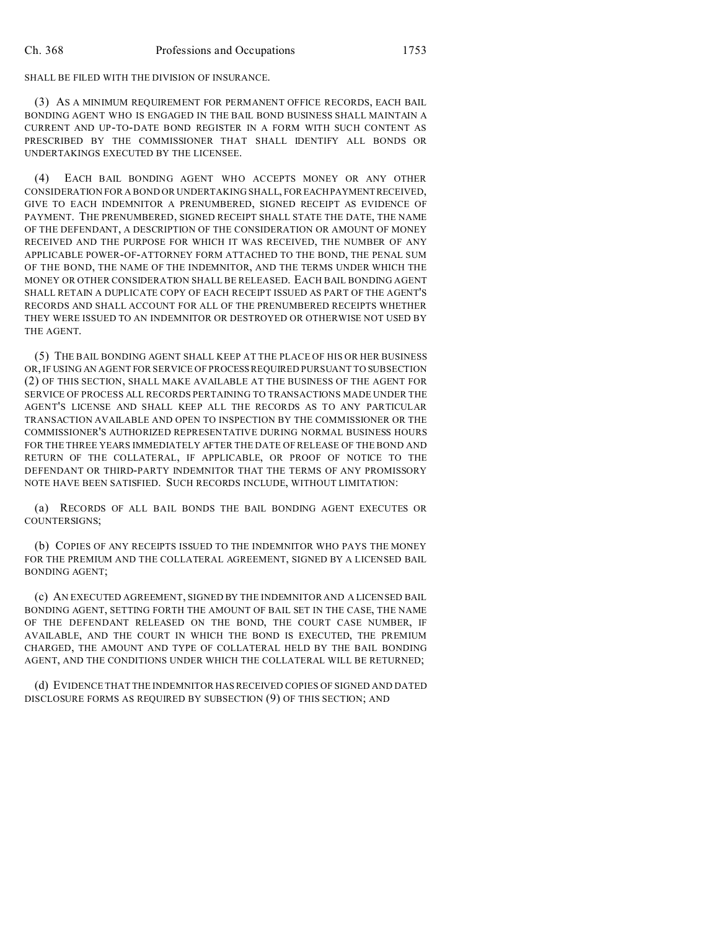## SHALL BE FILED WITH THE DIVISION OF INSURANCE.

(3) AS A MINIMUM REQUIREMENT FOR PERMANENT OFFICE RECORDS, EACH BAIL BONDING AGENT WHO IS ENGAGED IN THE BAIL BOND BUSINESS SHALL MAINTAIN A CURRENT AND UP-TO-DATE BOND REGISTER IN A FORM WITH SUCH CONTENT AS PRESCRIBED BY THE COMMISSIONER THAT SHALL IDENTIFY ALL BONDS OR UNDERTAKINGS EXECUTED BY THE LICENSEE.

(4) EACH BAIL BONDING AGENT WHO ACCEPTS MONEY OR ANY OTHER CONSIDERATION FOR A BOND OR UNDERTAKING SHALL, FOREACHPAYMENTRECEIVED, GIVE TO EACH INDEMNITOR A PRENUMBERED, SIGNED RECEIPT AS EVIDENCE OF PAYMENT. THE PRENUMBERED, SIGNED RECEIPT SHALL STATE THE DATE, THE NAME OF THE DEFENDANT, A DESCRIPTION OF THE CONSIDERATION OR AMOUNT OF MONEY RECEIVED AND THE PURPOSE FOR WHICH IT WAS RECEIVED, THE NUMBER OF ANY APPLICABLE POWER-OF-ATTORNEY FORM ATTACHED TO THE BOND, THE PENAL SUM OF THE BOND, THE NAME OF THE INDEMNITOR, AND THE TERMS UNDER WHICH THE MONEY OR OTHER CONSIDERATION SHALL BE RELEASED. EACH BAIL BONDING AGENT SHALL RETAIN A DUPLICATE COPY OF EACH RECEIPT ISSUED AS PART OF THE AGENT'S RECORDS AND SHALL ACCOUNT FOR ALL OF THE PRENUMBERED RECEIPTS WHETHER THEY WERE ISSUED TO AN INDEMNITOR OR DESTROYED OR OTHERWISE NOT USED BY THE AGENT.

(5) THE BAIL BONDING AGENT SHALL KEEP AT THE PLACE OF HIS OR HER BUSINESS OR, IF USING AN AGENT FOR SERVICE OF PROCESS REQUIRED PURSUANT TO SUBSECTION (2) OF THIS SECTION, SHALL MAKE AVAILABLE AT THE BUSINESS OF THE AGENT FOR SERVICE OF PROCESS ALL RECORDS PERTAINING TO TRANSACTIONS MADE UNDER THE AGENT'S LICENSE AND SHALL KEEP ALL THE RECORDS AS TO ANY PARTICULAR TRANSACTION AVAILABLE AND OPEN TO INSPECTION BY THE COMMISSIONER OR THE COMMISSIONER'S AUTHORIZED REPRESENTATIVE DURING NORMAL BUSINESS HOURS FOR THE THREE YEARS IMMEDIATELY AFTER THE DATE OF RELEASE OF THE BOND AND RETURN OF THE COLLATERAL, IF APPLICABLE, OR PROOF OF NOTICE TO THE DEFENDANT OR THIRD-PARTY INDEMNITOR THAT THE TERMS OF ANY PROMISSORY NOTE HAVE BEEN SATISFIED. SUCH RECORDS INCLUDE, WITHOUT LIMITATION:

(a) RECORDS OF ALL BAIL BONDS THE BAIL BONDING AGENT EXECUTES OR COUNTERSIGNS;

(b) COPIES OF ANY RECEIPTS ISSUED TO THE INDEMNITOR WHO PAYS THE MONEY FOR THE PREMIUM AND THE COLLATERAL AGREEMENT, SIGNED BY A LICENSED BAIL BONDING AGENT;

(c) AN EXECUTED AGREEMENT, SIGNED BY THE INDEMNITOR AND A LICENSED BAIL BONDING AGENT, SETTING FORTH THE AMOUNT OF BAIL SET IN THE CASE, THE NAME OF THE DEFENDANT RELEASED ON THE BOND, THE COURT CASE NUMBER, IF AVAILABLE, AND THE COURT IN WHICH THE BOND IS EXECUTED, THE PREMIUM CHARGED, THE AMOUNT AND TYPE OF COLLATERAL HELD BY THE BAIL BONDING AGENT, AND THE CONDITIONS UNDER WHICH THE COLLATERAL WILL BE RETURNED;

(d) EVIDENCE THAT THE INDEMNITOR HAS RECEIVED COPIES OF SIGNED AND DATED DISCLOSURE FORMS AS REQUIRED BY SUBSECTION (9) OF THIS SECTION; AND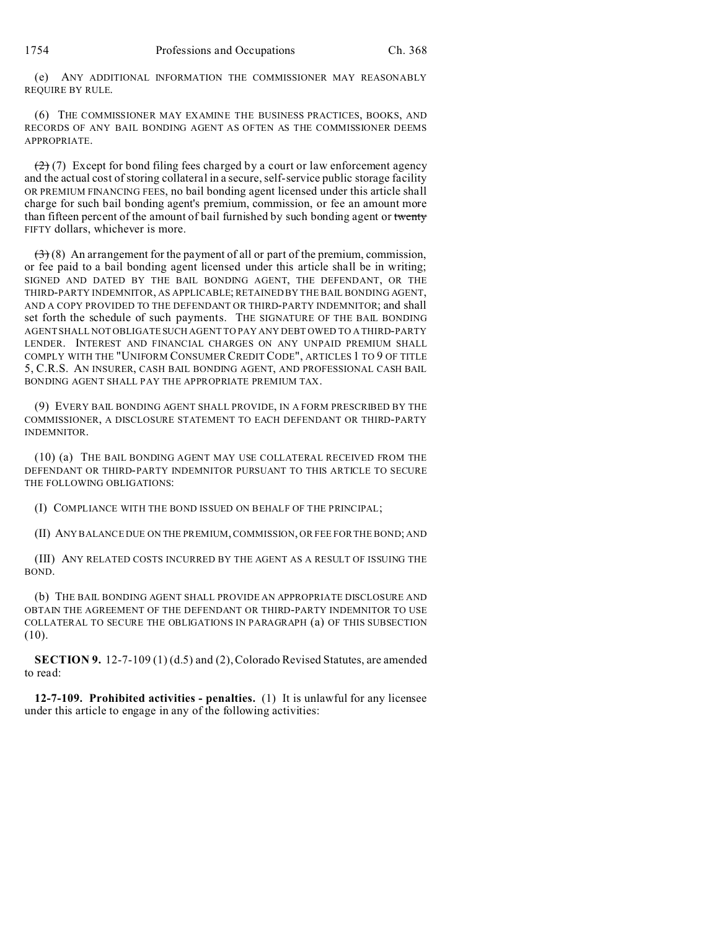(e) ANY ADDITIONAL INFORMATION THE COMMISSIONER MAY REASONABLY REQUIRE BY RULE.

(6) THE COMMISSIONER MAY EXAMINE THE BUSINESS PRACTICES, BOOKS, AND RECORDS OF ANY BAIL BONDING AGENT AS OFTEN AS THE COMMISSIONER DEEMS APPROPRIATE.

 $(2)$  (7) Except for bond filing fees charged by a court or law enforcement agency and the actual cost of storing collateral in a secure, self-service public storage facility OR PREMIUM FINANCING FEES, no bail bonding agent licensed under this article shall charge for such bail bonding agent's premium, commission, or fee an amount more than fifteen percent of the amount of bail furnished by such bonding agent or twenty FIFTY dollars, whichever is more.

 $(3)$  (8) An arrangement for the payment of all or part of the premium, commission, or fee paid to a bail bonding agent licensed under this article shall be in writing; SIGNED AND DATED BY THE BAIL BONDING AGENT, THE DEFENDANT, OR THE THIRD-PARTY INDEMNITOR, AS APPLICABLE; RETAINED BY THE BAIL BONDING AGENT, AND A COPY PROVIDED TO THE DEFENDANT OR THIRD-PARTY INDEMNITOR; and shall set forth the schedule of such payments. THE SIGNATURE OF THE BAIL BONDING AGENT SHALL NOT OBLIGATE SUCH AGENT TO PAY ANY DEBT OWED TO A THIRD-PARTY LENDER. INTEREST AND FINANCIAL CHARGES ON ANY UNPAID PREMIUM SHALL COMPLY WITH THE "UNIFORM CONSUMER CREDIT CODE", ARTICLES 1 TO 9 OF TITLE 5, C.R.S. AN INSURER, CASH BAIL BONDING AGENT, AND PROFESSIONAL CASH BAIL BONDING AGENT SHALL PAY THE APPROPRIATE PREMIUM TAX.

(9) EVERY BAIL BONDING AGENT SHALL PROVIDE, IN A FORM PRESCRIBED BY THE COMMISSIONER, A DISCLOSURE STATEMENT TO EACH DEFENDANT OR THIRD-PARTY INDEMNITOR.

(10) (a) THE BAIL BONDING AGENT MAY USE COLLATERAL RECEIVED FROM THE DEFENDANT OR THIRD-PARTY INDEMNITOR PURSUANT TO THIS ARTICLE TO SECURE THE FOLLOWING OBLIGATIONS:

(I) COMPLIANCE WITH THE BOND ISSUED ON BEHALF OF THE PRINCIPAL;

(II) ANY BALANCE DUE ON THE PREMIUM, COMMISSION, OR FEE FOR THE BOND; AND

(III) ANY RELATED COSTS INCURRED BY THE AGENT AS A RESULT OF ISSUING THE BOND.

(b) THE BAIL BONDING AGENT SHALL PROVIDE AN APPROPRIATE DISCLOSURE AND OBTAIN THE AGREEMENT OF THE DEFENDANT OR THIRD-PARTY INDEMNITOR TO USE COLLATERAL TO SECURE THE OBLIGATIONS IN PARAGRAPH (a) OF THIS SUBSECTION (10).

**SECTION 9.** 12-7-109 (1) (d.5) and (2), Colorado Revised Statutes, are amended to read:

**12-7-109. Prohibited activities - penalties.** (1) It is unlawful for any licensee under this article to engage in any of the following activities: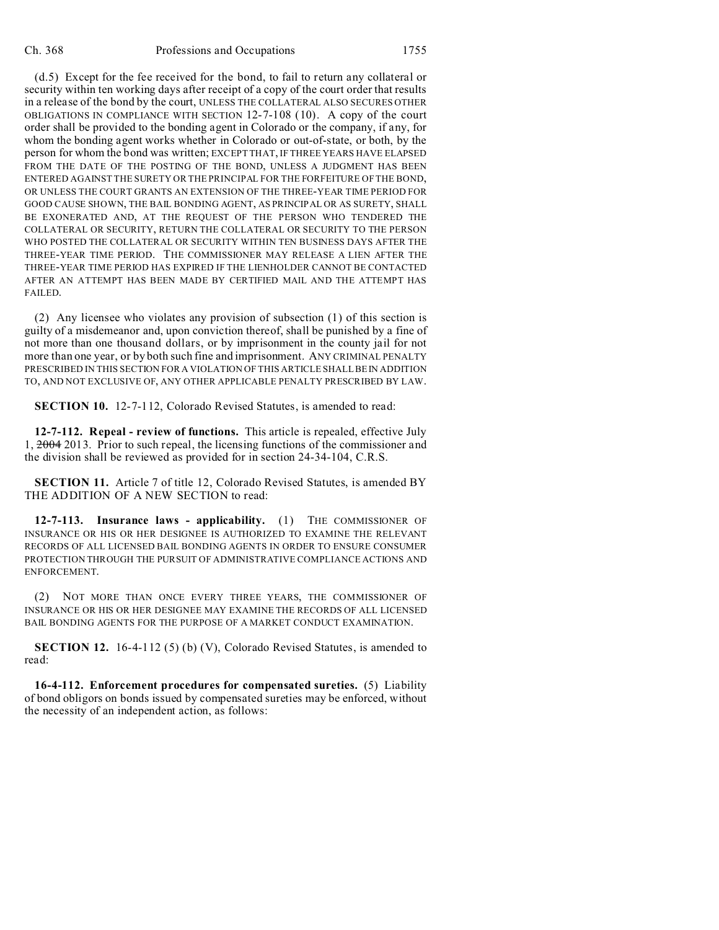(d.5) Except for the fee received for the bond, to fail to return any collateral or security within ten working days after receipt of a copy of the court order that results in a release of the bond by the court, UNLESS THE COLLATERAL ALSO SECURES OTHER OBLIGATIONS IN COMPLIANCE WITH SECTION 12-7-108 (10). A copy of the court order shall be provided to the bonding agent in Colorado or the company, if any, for whom the bonding agent works whether in Colorado or out-of-state, or both, by the person for whom the bond was written; EXCEPT THAT, IF THREE YEARS HAVE ELAPSED FROM THE DATE OF THE POSTING OF THE BOND, UNLESS A JUDGMENT HAS BEEN ENTERED AGAINST THE SURETY OR THE PRINCIPAL FOR THE FORFEITURE OF THE BOND, OR UNLESS THE COURT GRANTS AN EXTENSION OF THE THREE-YEAR TIME PERIOD FOR GOOD CAUSE SHOWN, THE BAIL BONDING AGENT, AS PRINCIPAL OR AS SURETY, SHALL BE EXONERATED AND, AT THE REQUEST OF THE PERSON WHO TENDERED THE COLLATERAL OR SECURITY, RETURN THE COLLATERAL OR SECURITY TO THE PERSON WHO POSTED THE COLLATERAL OR SECURITY WITHIN TEN BUSINESS DAYS AFTER THE THREE-YEAR TIME PERIOD. THE COMMISSIONER MAY RELEASE A LIEN AFTER THE THREE-YEAR TIME PERIOD HAS EXPIRED IF THE LIENHOLDER CANNOT BE CONTACTED AFTER AN ATTEMPT HAS BEEN MADE BY CERTIFIED MAIL AND THE ATTEMPT HAS FAILED.

(2) Any licensee who violates any provision of subsection (1) of this section is guilty of a misdemeanor and, upon conviction thereof, shall be punished by a fine of not more than one thousand dollars, or by imprisonment in the county jail for not more than one year, or by both such fine and imprisonment. ANY CRIMINAL PENALTY PRESCRIBED IN THIS SECTION FOR A VIOLATION OF THIS ARTICLE SHALL BEIN ADDITION TO, AND NOT EXCLUSIVE OF, ANY OTHER APPLICABLE PENALTY PRESCRIBED BY LAW.

**SECTION 10.** 12-7-112, Colorado Revised Statutes, is amended to read:

**12-7-112. Repeal - review of functions.** This article is repealed, effective July 1, 2004 2013. Prior to such repeal, the licensing functions of the commissioner and the division shall be reviewed as provided for in section 24-34-104, C.R.S.

**SECTION 11.** Article 7 of title 12, Colorado Revised Statutes, is amended BY THE ADDITION OF A NEW SECTION to read:

**12-7-113. Insurance laws - applicability.** (1) THE COMMISSIONER OF INSURANCE OR HIS OR HER DESIGNEE IS AUTHORIZED TO EXAMINE THE RELEVANT RECORDS OF ALL LICENSED BAIL BONDING AGENTS IN ORDER TO ENSURE CONSUMER PROTECTION THROUGH THE PURSUIT OF ADMINISTRATIVE COMPLIANCE ACTIONS AND ENFORCEMENT.

(2) NOT MORE THAN ONCE EVERY THREE YEARS, THE COMMISSIONER OF INSURANCE OR HIS OR HER DESIGNEE MAY EXAMINE THE RECORDS OF ALL LICENSED BAIL BONDING AGENTS FOR THE PURPOSE OF A MARKET CONDUCT EXAMINATION.

**SECTION 12.** 16-4-112 (5) (b) (V), Colorado Revised Statutes, is amended to read:

**16-4-112. Enforcement procedures for compensated sureties.** (5) Liability of bond obligors on bonds issued by compensated sureties may be enforced, without the necessity of an independent action, as follows: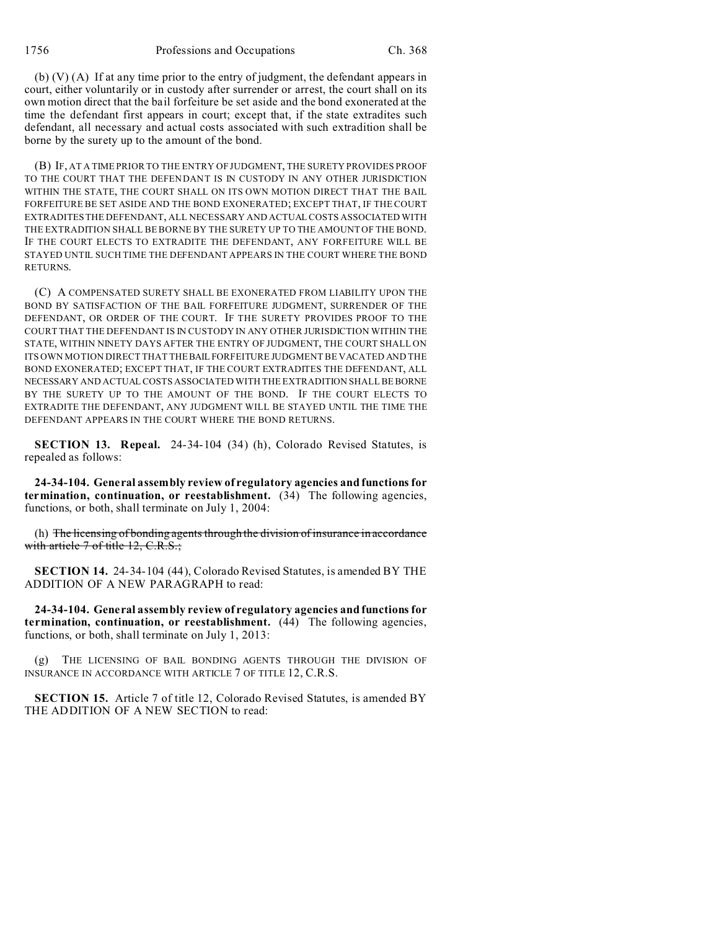1756 Professions and Occupations Ch. 368

(b) (V) (A) If at any time prior to the entry of judgment, the defendant appears in court, either voluntarily or in custody after surrender or arrest, the court shall on its own motion direct that the bail forfeiture be set aside and the bond exonerated at the time the defendant first appears in court; except that, if the state extradites such defendant, all necessary and actual costs associated with such extradition shall be borne by the surety up to the amount of the bond.

(B) IF, AT A TIME PRIOR TO THE ENTRY OF JUDGMENT, THE SURETY PROVIDES PROOF TO THE COURT THAT THE DEFENDANT IS IN CUSTODY IN ANY OTHER JURISDICTION WITHIN THE STATE, THE COURT SHALL ON ITS OWN MOTION DIRECT THAT THE BAIL FORFEITURE BE SET ASIDE AND THE BOND EXONERATED; EXCEPT THAT, IF THE COURT EXTRADITES THE DEFENDANT, ALL NECESSARY AND ACTUAL COSTS ASSOCIATED WITH THE EXTRADITION SHALL BE BORNE BY THE SURETY UP TO THE AMOUNT OF THE BOND. IF THE COURT ELECTS TO EXTRADITE THE DEFENDANT, ANY FORFEITURE WILL BE STAYED UNTIL SUCH TIME THE DEFENDANT APPEARS IN THE COURT WHERE THE BOND RETURNS.

(C) A COMPENSATED SURETY SHALL BE EXONERATED FROM LIABILITY UPON THE BOND BY SATISFACTION OF THE BAIL FORFEITURE JUDGMENT, SURRENDER OF THE DEFENDANT, OR ORDER OF THE COURT. IF THE SURETY PROVIDES PROOF TO THE COURT THAT THE DEFENDANT IS IN CUSTODY IN ANY OTHER JURISDICTION WITHIN THE STATE, WITHIN NINETY DAYS AFTER THE ENTRY OF JUDGMENT, THE COURT SHALL ON ITS OWN MOTION DIRECT THAT THE BAIL FORFEITURE JUDGMENT BE VACATED AND THE BOND EXONERATED; EXCEPT THAT, IF THE COURT EXTRADITES THE DEFENDANT, ALL NECESSARY AND ACTUAL COSTS ASSOCIATED WITH THE EXTRADITION SHALL BEBORNE BY THE SURETY UP TO THE AMOUNT OF THE BOND. IF THE COURT ELECTS TO EXTRADITE THE DEFENDANT, ANY JUDGMENT WILL BE STAYED UNTIL THE TIME THE DEFENDANT APPEARS IN THE COURT WHERE THE BOND RETURNS.

**SECTION 13. Repeal.** 24-34-104 (34) (h), Colorado Revised Statutes, is repealed as follows:

**24-34-104. General assembly review of regulatory agencies and functions for termination, continuation, or reestablishment.** (34) The following agencies, functions, or both, shall terminate on July 1, 2004:

(h) The licensing of bonding agents through the division of insurance in accordance with article 7 of title 12, C.R.S.;

**SECTION 14.** 24-34-104 (44), Colorado Revised Statutes, is amended BY THE ADDITION OF A NEW PARAGRAPH to read:

**24-34-104. General assembly review of regulatory agencies and functions for termination, continuation, or reestablishment.** (44) The following agencies, functions, or both, shall terminate on July 1, 2013:

(g) THE LICENSING OF BAIL BONDING AGENTS THROUGH THE DIVISION OF INSURANCE IN ACCORDANCE WITH ARTICLE 7 OF TITLE 12, C.R.S.

**SECTION 15.** Article 7 of title 12, Colorado Revised Statutes, is amended BY THE ADDITION OF A NEW SECTION to read: